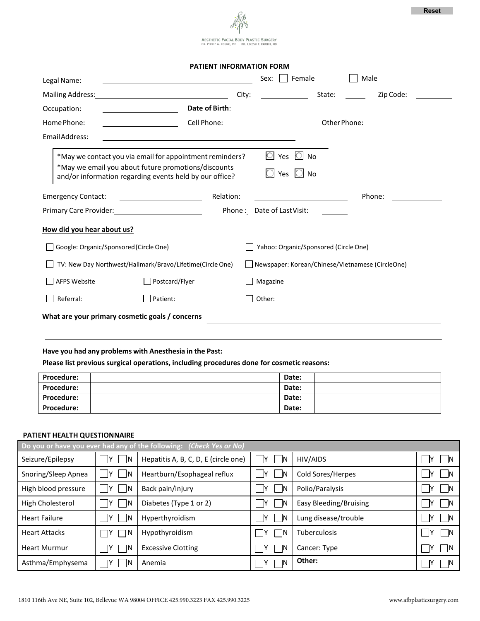

**PATIENT INFORMATION FORM**

| Legal Name:                                                                                                                                                                                                                                                                                                                     | Sex: $\Box$ Female<br>Male                                                                                                                                                                                                           |  |  |  |
|---------------------------------------------------------------------------------------------------------------------------------------------------------------------------------------------------------------------------------------------------------------------------------------------------------------------------------|--------------------------------------------------------------------------------------------------------------------------------------------------------------------------------------------------------------------------------------|--|--|--|
| Mailing Address:<br>City:                                                                                                                                                                                                                                                                                                       | Zip Code:<br>State:                                                                                                                                                                                                                  |  |  |  |
| Date of Birth:<br>Occupation:<br><u> 1990 - Johann John Stone, markin samti samti samti samti samti samti samti samti samti samti samti samti sa</u>                                                                                                                                                                            | <u>and the state of the state of the state of the state of the state of the state of the state of the state of the state of the state of the state of the state of the state of the state of the state of the state of the state</u> |  |  |  |
| Home Phone:<br>Cell Phone:                                                                                                                                                                                                                                                                                                      | Other Phone:                                                                                                                                                                                                                         |  |  |  |
| Email Address:                                                                                                                                                                                                                                                                                                                  |                                                                                                                                                                                                                                      |  |  |  |
| *May we contact you via email for appointment reminders?<br>*May we email you about future promotions/discounts<br>and/or information regarding events held by our office?                                                                                                                                                      | $\circ$ Yes $\circ$ No<br>Yes $\bigcirc$ No                                                                                                                                                                                          |  |  |  |
| Relation:<br><b>Emergency Contact:</b>                                                                                                                                                                                                                                                                                          | Phone:                                                                                                                                                                                                                               |  |  |  |
| Primary Care Provider: 1997                                                                                                                                                                                                                                                                                                     | Phone: Date of Last Visit:                                                                                                                                                                                                           |  |  |  |
| How did you hear about us?<br>Yahoo: Organic/Sponsored (Circle One)<br>Google: Organic/Sponsored (Circle One)<br>TV: New Day Northwest/Hallmark/Bravo/Lifetime(Circle One)<br>Newspaper: Korean/Chinese/Vietnamese (CircleOne)<br>AFPS Website<br>Postcard/Flyer<br>Magazine<br>What are your primary cosmetic goals / concerns |                                                                                                                                                                                                                                      |  |  |  |
| Have you had any problems with Anesthesia in the Past:<br>Please list previous surgical operations, including procedures done for cosmetic reasons:<br>Procedure:<br>Procedure:                                                                                                                                                 | Date:<br>Date:                                                                                                                                                                                                                       |  |  |  |
| Procedure:                                                                                                                                                                                                                                                                                                                      | Date:                                                                                                                                                                                                                                |  |  |  |
| Procedure:                                                                                                                                                                                                                                                                                                                      | Date:                                                                                                                                                                                                                                |  |  |  |
|                                                                                                                                                                                                                                                                                                                                 |                                                                                                                                                                                                                                      |  |  |  |

## **PATIENT HEALTH QUESTIONNAIRE**

| Do you or have you ever had any of the following: (Check Yes or No) |             |                                      |              |                        |             |  |
|---------------------------------------------------------------------|-------------|--------------------------------------|--------------|------------------------|-------------|--|
| Seizure/Epilepsy                                                    | - IY<br>ΙN  | Hepatitis A, B, C, D, E (circle one) | - IY<br>- IN | HIV/AIDS               | -lY<br>l IN |  |
| Snoring/Sleep Apnea                                                 | -IN         | Heartburn/Esophageal reflux          | ΙN           | Cold Sores/Herpes      | – IN        |  |
| High blood pressure                                                 | -IN         | Back pain/injury                     | -IN          | Polio/Paralysis        | – IN        |  |
| High Cholesterol                                                    | -IN         | Diabetes (Type 1 or 2)               | -IN          | Easy Bleeding/Bruising | - IN        |  |
| <b>Heart Failure</b>                                                | IN.<br>- IY | Hyperthyroidism                      | ΙN<br>-lY    | Lung disease/trouble   | ١Y<br>- IN  |  |
| <b>Heart Attacks</b>                                                | ٦N          | Hypothyroidism                       | - IN         | <b>Tuberculosis</b>    | ∣ IN        |  |
| <b>Heart Murmur</b>                                                 | ΙN          | <b>Excessive Clotting</b>            |              | Cancer: Type           | – IN        |  |
| Asthma/Emphysema                                                    | IN.         | Anemia                               | ٦N           | Other:                 | – IN        |  |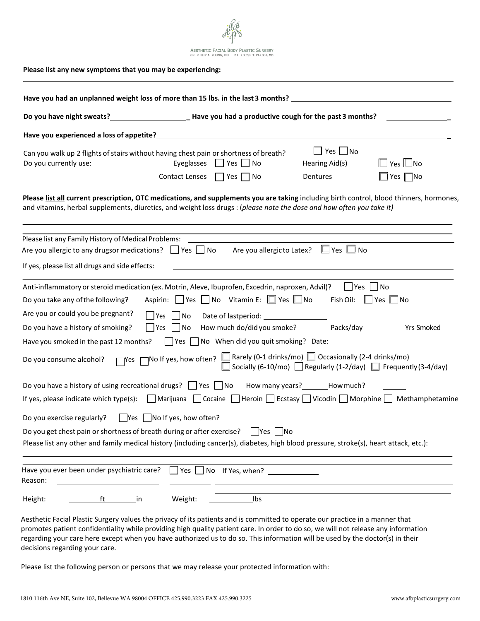

|                                                                                                                                                                             | Do you have night sweats?<br>Lave you had a productive cough for the past 3 months?                                                                                                                                                                                                                                                                                                                               |                                                    |                                       |
|-----------------------------------------------------------------------------------------------------------------------------------------------------------------------------|-------------------------------------------------------------------------------------------------------------------------------------------------------------------------------------------------------------------------------------------------------------------------------------------------------------------------------------------------------------------------------------------------------------------|----------------------------------------------------|---------------------------------------|
|                                                                                                                                                                             | Have you experienced a loss of appetite? Notice that the control of the control of the control of the control of                                                                                                                                                                                                                                                                                                  |                                                    |                                       |
| Can you walk up 2 flights of stairs without having chest pain or shortness of breath?<br>Do you currently use:                                                              | Eyeglasses $\Box$ Yes $\Box$ No<br>Contact Lenses   Yes   No                                                                                                                                                                                                                                                                                                                                                      | $\Box$ Yes $\Box$ No<br>Hearing Aid(s)<br>Dentures | $Yes \Box No$<br>$\Box$ Yes $\Box$ No |
|                                                                                                                                                                             | Please list all current prescription, OTC medications, and supplements you are taking including birth control, blood thinners, hormones,<br>and vitamins, herbal supplements, diuretics, and weight loss drugs : (please note the dose and how often you take it)                                                                                                                                                 |                                                    |                                       |
| Please list any Family History of Medical Problems:<br>Are you allergic to any drugsor medications? $\Box$ Yes $\Box$ No<br>If yes, please list all drugs and side effects: | Are you allergicto Latex?                                                                                                                                                                                                                                                                                                                                                                                         | $\Box$ Yes $\Box$<br>No.                           |                                       |
| Do you take any of the following?<br>Are you or could you be pregnant?<br>Do you have a history of smoking?<br>Have you smoked in the past 12 months?                       | Anti-inflammatory or steroid medication (ex. Motrin, Aleve, Ibuprofen, Excedrin, naproxen, Advil)?<br>Aspirin: Yes No Vitamin E: Yes No Fish Oil: Yes No<br>$ $   Yes     No<br>How much do/did you smoke? Packs/day<br>$ $ Yes $ $ No<br>$\Box$ Yes $\Box$ No When did you quit smoking? Date:                                                                                                                   | l lYes l                                           | No<br><b>Yrs Smoked</b>               |
| Do you consume alcohol?                                                                                                                                                     | Thes Theory of ten? The Rarely (0-1 drinks/mo) Coccasionally (2-4 drinks/mo)<br>Socially (6-10/mo) The Regularly (1-2/day) The Prequently (3-4/day)<br>Do you have a history of using recreational drugs? D Yes D No How many years? ______How much?<br>If yes, please indicate which type(s): $\Box$ Marijuana $\Box$ Cocaine $\Box$ Heroin $\Box$ Ecstasy $\Box$ Vicodin $\Box$ Morphine $\Box$ Methamphetamine |                                                    |                                       |
| Do you exercise regularly?<br>Do you get chest pain or shortness of breath during or after exercise?                                                                        | $\Box$ Yes $\Box$ No If yes, how often?<br>  Yes   No<br>Please list any other and family medical history (including cancer(s), diabetes, high blood pressure, stroke(s), heart attack, etc.):                                                                                                                                                                                                                    |                                                    |                                       |
| Have you ever been under psychiatric care?<br>Reason:                                                                                                                       | Yes  <br>$\Box$ No $\Box$ If Yes, when? $\Box$ $\Box$                                                                                                                                                                                                                                                                                                                                                             |                                                    |                                       |
| Height:<br>ft<br>and the set of the set of the set of the set of the set of the set of the set of the set of the set of the set                                             | Weight:<br>Ibs                                                                                                                                                                                                                                                                                                                                                                                                    |                                                    |                                       |

Aesthetic Facial Plastic Surgery values the privacy of its patients and is committed to operate our practice in a manner that promotes patient confidentiality while providing high quality patient care. In order to do so, we will not release any information regarding your care here except when you have authorized us to do so. This information will be used by the doctor(s) in their decisions regarding your care.

Please list the following person or persons that we may release your protected information with: